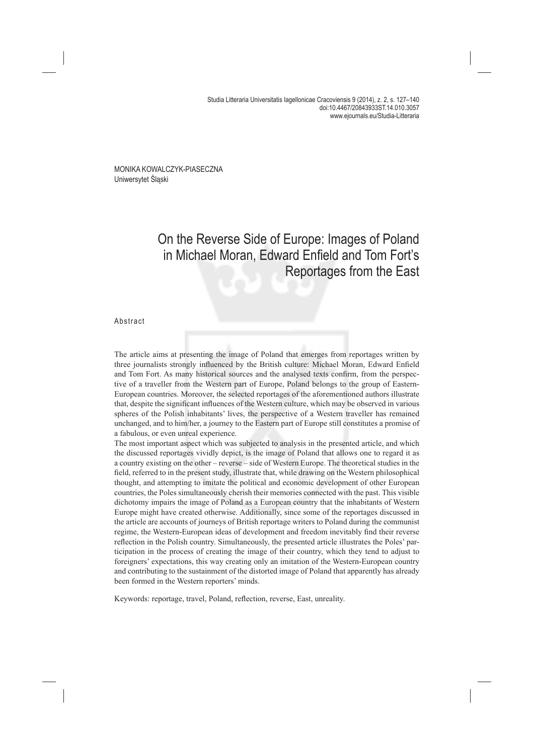Studia Litteraria Universitatis Iagellonicae Cracoviensis 9 (2014), z. 2, s. 127–140 doi:10.4467/20843933ST.14.010.3057 www.ejournals.eu/Studia-Litteraria

MONIKA KOWALCZYK-PIASECZNA Uniwersytet Śląski

# On the Reverse Side of Europe: Images of Poland in Michael Moran, Edward Enfield and Tom Fort's Reportages from the East

#### Abstract

The article aims at presenting the image of Poland that emerges from reportages written by three journalists strongly influenced by the British culture: Michael Moran, Edward Enfield and Tom Fort. As many historical sources and the analysed texts confirm, from the perspective of a traveller from the Western part of Europe, Poland belongs to the group of Eastern-European countries. Moreover, the selected reportages of the aforementioned authors illustrate that, despite the significant influences of the Western culture, which may be observed in various spheres of the Polish inhabitants' lives, the perspective of a Western traveller has remained unchanged, and to him/her, a journey to the Eastern part of Europe still constitutes a promise of a fabulous, or even unreal experience.

The most important aspect which was subjected to analysis in the presented article, and which the discussed reportages vividly depict, is the image of Poland that allows one to regard it as a country existing on the other – reverse – side of Western Europe. The theoretical studies in the field, referred to in the present study, illustrate that, while drawing on the Western philosophical thought, and attempting to imitate the political and economic development of other European countries, the Poles simultaneously cherish their memories connected with the past. This visible dichotomy impairs the image of Poland as a European country that the inhabitants of Western Europe might have created otherwise. Additionally, since some of the reportages discussed in the article are accounts of journeys of British reportage writers to Poland during the communist regime, the Western-European ideas of development and freedom inevitably find their reverse reflection in the Polish country. Simultaneously, the presented article illustrates the Poles' participation in the process of creating the image of their country, which they tend to adjust to foreigners' expectations, this way creating only an imitation of the Western-European country and contributing to the sustainment of the distorted image of Poland that apparently has already been formed in the Western reporters' minds.

Keywords: reportage, travel, Poland, reflection, reverse, East, unreality.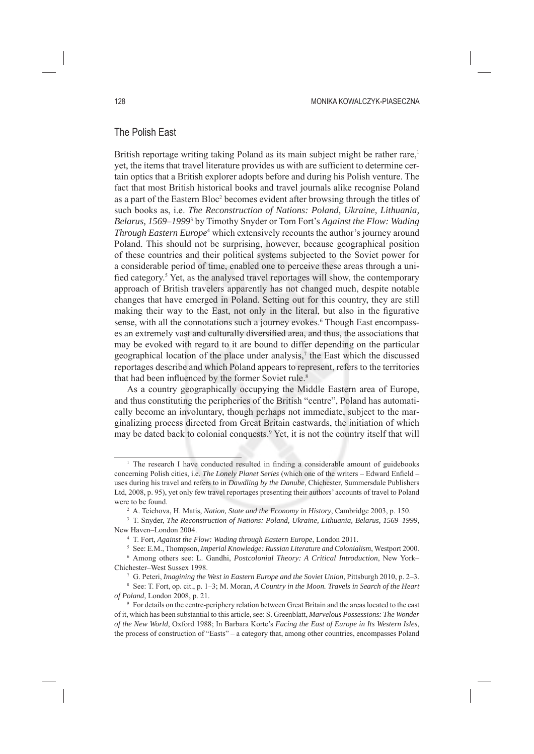# The Polish East

British reportage writing taking Poland as its main subject might be rather rare,<sup>1</sup> yet, the items that travel literature provides us with are sufficient to determine certain optics that a British explorer adopts before and during his Polish venture. The fact that most British historical books and travel journals alike recognise Poland as a part of the Eastern Bloc<sup>2</sup> becomes evident after browsing through the titles of such books as, i.e. *The Reconstruction of Nations: Poland, Ukraine, Lithuania, Belarus, 1569–1999*<sup>3</sup> by Timothy Snyder or Tom Fort's *Against the Flow: Wading Through Eastern Europe*<sup>4</sup> which extensively recounts the author's journey around Poland. This should not be surprising, however, because geographical position of these countries and their political systems subjected to the Soviet power for a considerable period of time, enabled one to perceive these areas through a unified category.<sup>5</sup> Yet, as the analysed travel reportages will show, the contemporary approach of British travelers apparently has not changed much, despite notable changes that have emerged in Poland. Setting out for this country, they are still making their way to the East, not only in the literal, but also in the figurative sense, with all the connotations such a journey evokes.<sup>6</sup> Though East encompasses an extremely vast and culturally diversified area, and thus, the associations that may be evoked with regard to it are bound to differ depending on the particular geographical location of the place under analysis, $\tau$  the East which the discussed reportages describe and which Poland appears to represent, refers to the territories that had been influenced by the former Soviet rule.<sup>8</sup>

As a country geographically occupying the Middle Eastern area of Europe, and thus constituting the peripheries of the British "centre", Poland has automatically become an involuntary, though perhaps not immediate, subject to the marginalizing process directed from Great Britain eastwards, the initiation of which may be dated back to colonial conquests.<sup>9</sup> Yet, it is not the country itself that will

<sup>&</sup>lt;sup>1</sup> The research I have conducted resulted in finding a considerable amount of guidebooks concerning Polish cities, i.e. *The Lonely Planet Series* (which one of the writers - Edward Enfield uses during his travel and refers to in *Dawdling by the Danube*, Chichester, Summersdale Publishers Ltd, 2008, p. 95), yet only few travel reportages presenting their authors' accounts of travel to Poland were to be found.

<sup>2</sup> A. Teichova, H. Matis, *Nation, State and the Economy in History*, Cambridge 2003, p. 150.

<sup>3</sup> T. Snyder, *The Reconstruction of Nations: Poland, Ukraine, Lithuania, Belarus, 1569–1999*, New Haven–London 2004.

<sup>4</sup> T. Fort, *Against the Flow: Wading through Eastern Europe*, London 2011.

<sup>&</sup>lt;sup>5</sup> See: E.M., Thompson, *Imperial Knowledge: Russian Literature and Colonialism*, Westport 2000.<br><sup>6</sup> Among others see: L. Gandhi, *Postcolonial Theory: A Critical Introduction*, New York– Among others see: L. Gandhi, *Postcolonial Theory: A Critical Introduction*, New York– Chichester–West Sussex 1998.

<sup>7</sup> G. Peteri, *Imagining the West in Eastern Europe and the Soviet Union*, Pittsburgh 2010, p. 2–3.

<sup>8</sup> See: T. Fort, op. cit., p. 1–3; M. Moran, *A Country in the Moon. Travels in Search of the Heart of Poland*, London 2008, p. 21.

<sup>9</sup> For details on the centre-periphery relation between Great Britain and the areas located to the east of it, which has been substantial to this article, see: S. Greenblatt, *Marvelous Possessions: The Wonder of the New World*, Oxford 1988; In Barbara Korte's *Facing the East of Europe in Its Western Isles*, the process of construction of "Easts" – a category that, among other countries, encompasses Poland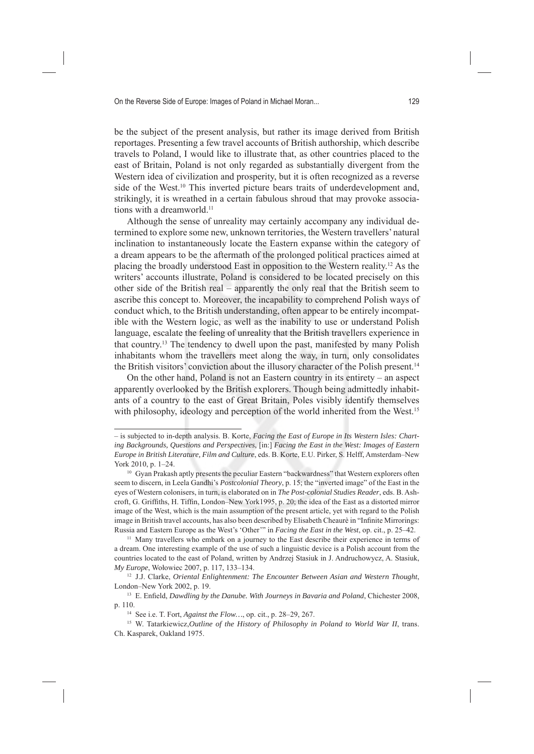be the subject of the present analysis, but rather its image derived from British reportages. Presenting a few travel accounts of British authorship, which describe travels to Poland, I would like to illustrate that, as other countries placed to the east of Britain, Poland is not only regarded as substantially divergent from the Western idea of civilization and prosperity, but it is often recognized as a reverse side of the West.<sup>10</sup> This inverted picture bears traits of underdevelopment and, strikingly, it is wreathed in a certain fabulous shroud that may provoke associations with a dreamworld.<sup>11</sup>

Although the sense of unreality may certainly accompany any individual determined to explore some new, unknown territories, the Western travellers' natural inclination to instantaneously locate the Eastern expanse within the category of a dream appears to be the aftermath of the prolonged political practices aimed at placing the broadly understood East in opposition to the Western reality.12 As the writers' accounts illustrate, Poland is considered to be located precisely on this other side of the British real – apparently the only real that the British seem to ascribe this concept to. Moreover, the incapability to comprehend Polish ways of conduct which, to the British understanding, often appear to be entirely incompatible with the Western logic, as well as the inability to use or understand Polish language, escalate the feeling of unreality that the British travellers experience in that country.13 The tendency to dwell upon the past, manifested by many Polish inhabitants whom the travellers meet along the way, in turn, only consolidates the British visitors' conviction about the illusory character of the Polish present.<sup>14</sup>

On the other hand, Poland is not an Eastern country in its entirety – an aspect apparently overlooked by the British explorers. Though being admittedly inhabitants of a country to the east of Great Britain, Poles visibly identify themselves with philosophy, ideology and perception of the world inherited from the West.<sup>15</sup>

<sup>–</sup> is subjected to in-depth analysis. B. Korte, *Facing the East of Europe in Its Western Isles: Charting Backgrounds, Questions and Perspectives*, [in:] *Facing the East in the West: Images of Eastern Europe in British Literature, Film and Culture*, eds. B. Korte, E.U. Pirker, S. Helff, Amsterdam–New York 2010, p. 1–24.

<sup>&</sup>lt;sup>10</sup> Gyan Prakash aptly presents the peculiar Eastern "backwardness" that Western explorers often seem to discern, in Leela Gandhi's *Postcolonial Theory*, p. 15; the "inverted image" of the East in the eyes of Western colonisers, in turn, is elaborated on in *The Post-colonial Studies Reader*, eds. B. Ashcroft, G. Griffiths, H. Tiffin, London–New York1995, p. 20; the idea of the East as a distorted mirror image of the West, which is the main assumption of the present article, yet with regard to the Polish image in British travel accounts, has also been described by Elisabeth Cheaurè in "Infinite Mirrorings: Russia and Eastern Europe as the West's 'Other'" in *Facing the East in the West*, op. cit., p. 25–42.

<sup>&</sup>lt;sup>11</sup> Many travellers who embark on a journey to the East describe their experience in terms of a dream. One interesting example of the use of such a linguistic device is a Polish account from the countries located to the east of Poland, written by Andrzej Stasiuk in J. Andruchowycz, A. Stasiuk, *My Europe*, Wołowiec 2007, p. 117, 133–134.

<sup>12</sup> J.J. Clarke, *Oriental Enlightenment: The Encounter Between Asian and Western Thought*, London–New York 2002, p. 19.

<sup>&</sup>lt;sup>13</sup> E. Enfield, *Dawdling by the Danube. With Journeys in Bavaria and Poland*, Chichester 2008, p. 110.

<sup>14</sup> See i.e. T. Fort, *Against the Flow…*, op. cit., p. 28–29, 267.

<sup>&</sup>lt;sup>15</sup> W. Tatarkiewicz, *Outline of the History of Philosophy in Poland to World War II*, trans. Ch. Kasparek, Oakland 1975.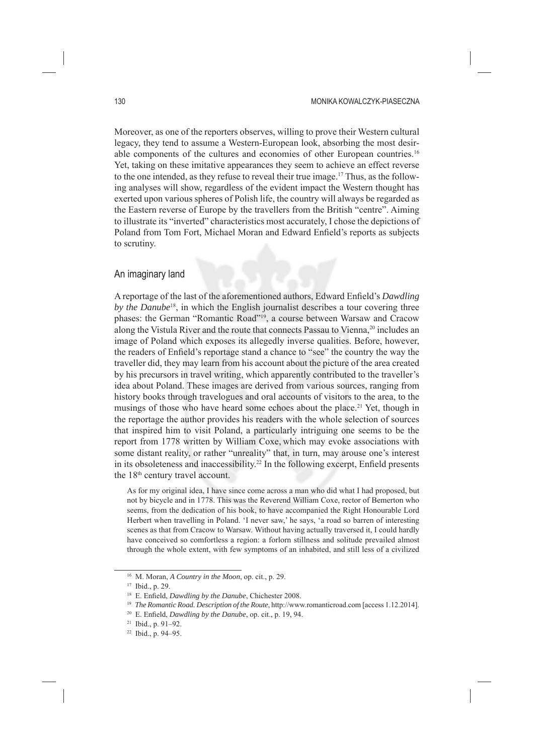Moreover, as one of the reporters observes, willing to prove their Western cultural legacy, they tend to assume a Western-European look, absorbing the most desirable components of the cultures and economies of other European countries.16 Yet, taking on these imitative appearances they seem to achieve an effect reverse to the one intended, as they refuse to reveal their true image.17 Thus, as the following analyses will show, regardless of the evident impact the Western thought has exerted upon various spheres of Polish life, the country will always be regarded as the Eastern reverse of Europe by the travellers from the British "centre". Aiming to illustrate its "inverted" characteristics most accurately, I chose the depictions of Poland from Tom Fort, Michael Moran and Edward Enfield's reports as subjects to scrutiny.

# An imaginary land

A reportage of the last of the aforementioned authors, Edward Enfield's *Dawdling by the Danube*18, in which the English journalist describes a tour covering three phases: the German "Romantic Road"19, a course between Warsaw and Cracow along the Vistula River and the route that connects Passau to Vienna,<sup>20</sup> includes an image of Poland which exposes its allegedly inverse qualities. Before, however, the readers of Enfield's reportage stand a chance to "see" the country the way the traveller did, they may learn from his account about the picture of the area created by his precursors in travel writing, which apparently contributed to the traveller's idea about Poland. These images are derived from various sources, ranging from history books through travelogues and oral accounts of visitors to the area, to the musings of those who have heard some echoes about the place.<sup>21</sup> Yet, though in the reportage the author provides his readers with the whole selection of sources that inspired him to visit Poland, a particularly intriguing one seems to be the report from 1778 written by William Coxe, which may evoke associations with some distant reality, or rather "unreality" that, in turn, may arouse one's interest in its obsoleteness and inaccessibility.<sup>22</sup> In the following excerpt, Enfield presents the 18<sup>th</sup> century travel account.

As for my original idea, I have since come across a man who did what I had proposed, but not by bicycle and in 1778. This was the Reverend William Coxe, rector of Bemerton who seems, from the dedication of his book, to have accompanied the Right Honourable Lord Herbert when travelling in Poland. 'I never saw,' he says, 'a road so barren of interesting scenes as that from Cracow to Warsaw. Without having actually traversed it, I could hardly have conceived so comfortless a region: a forlorn stillness and solitude prevailed almost through the whole extent, with few symptoms of an inhabited, and still less of a civilized

<sup>16</sup> M. Moran, *A Country in the Moon*, op. cit., p. 29.

<sup>17</sup> Ibid., p. 29.

<sup>&</sup>lt;sup>18</sup> E. Enfield, *Dawdling by the Danube*, Chichester 2008.

<sup>&</sup>lt;sup>19</sup> *The Romantic Road. Description of the Route*, http://www.romanticroad.com [access 1.12.2014].

<sup>&</sup>lt;sup>20</sup> E. Enfield, *Dawdling by the Danube*, op. cit., p. 19, 94.

<sup>21</sup> Ibid., p. 91–92.

<sup>22</sup> Ibid., p. 94–95.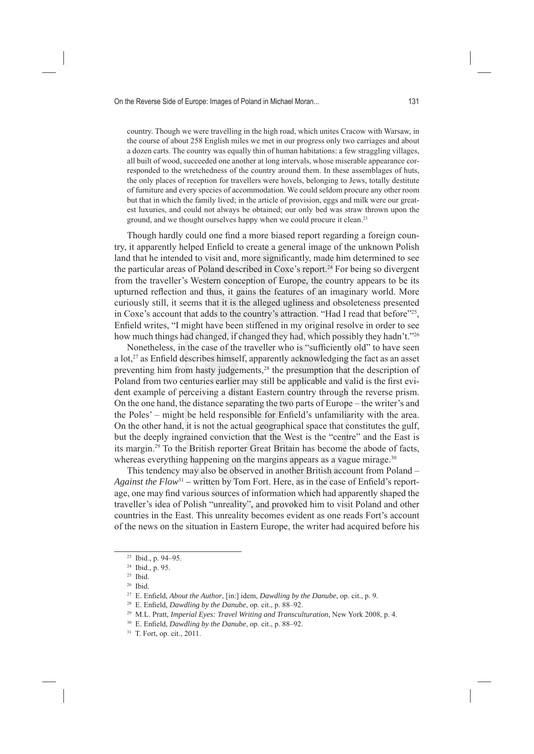country. Though we were travelling in the high road, which unites Cracow with Warsaw, in the course of about 258 English miles we met in our progress only two carriages and about a dozen carts. The country was equally thin of human habitations: a few straggling villages, all built of wood, succeeded one another at long intervals, whose miserable appearance corresponded to the wretchedness of the country around them. In these assemblages of huts, the only places of reception for travellers were hovels, belonging to Jews, totally destitute of furniture and every species of accommodation. We could seldom procure any other room but that in which the family lived; in the article of provision, eggs and milk were our greatest luxuries, and could not always be obtained; our only bed was straw thrown upon the ground, and we thought ourselves happy when we could procure it clean.23

Though hardly could one find a more biased report regarding a foreign country, it apparently helped Enfield to create a general image of the unknown Polish land that he intended to visit and, more significantly, made him determined to see the particular areas of Poland described in Coxe's report.<sup>24</sup> For being so divergent from the traveller's Western conception of Europe, the country appears to be its upturned reflection and thus, it gains the features of an imaginary world. More curiously still, it seems that it is the alleged ugliness and obsoleteness presented in Coxe's account that adds to the country's attraction. "Had I read that before" $^{22}$ , Enfield writes, "I might have been stiffened in my original resolve in order to see how much things had changed, if changed they had, which possibly they hadn't."26

Nonetheless, in the case of the traveller who is "sufficiently old" to have seen a  $\mathrm{lot.}^{27}$  as Enfield describes himself, apparently acknowledging the fact as an asset preventing him from hasty judgements,<sup>28</sup> the presumption that the description of Poland from two centuries earlier may still be applicable and valid is the first evident example of perceiving a distant Eastern country through the reverse prism. On the one hand, the distance separating the two parts of Europe – the writer's and the Poles' – might be held responsible for Enfield's unfamiliarity with the area. On the other hand, it is not the actual geographical space that constitutes the gulf, but the deeply ingrained conviction that the West is the "centre" and the East is its margin.29 To the British reporter Great Britain has become the abode of facts, whereas everything happening on the margins appears as a vague mirage.<sup>30</sup>

This tendency may also be observed in another British account from Poland – *Against the Flow*<sup>31</sup> – written by Tom Fort. Here, as in the case of Enfield's reportage, one may find various sources of information which had apparently shaped the traveller's idea of Polish "unreality", and provoked him to visit Poland and other countries in the East. This unreality becomes evident as one reads Fort's account of the news on the situation in Eastern Europe, the writer had acquired before his

<sup>23</sup> Ibid., p. 94–95.

<sup>24</sup> Ibid., p. 95.

<sup>25</sup> Ibid.

<sup>26</sup> Ibid.

<sup>&</sup>lt;sup>27</sup> E. Enfield, *About the Author*, [in:] idem, *Dawdling by the Danube*, op. cit., p. 9.

<sup>&</sup>lt;sup>28</sup> E. Enfield, *Dawdling by the Danube*, op. cit., p. 88-92.

<sup>29</sup> M.L. Pratt, *Imperial Eyes: Travel Writing and Transculturation*, New York 2008, p. 4.

<sup>&</sup>lt;sup>30</sup> E. Enfield, *Dawdling by the Danube*, op. cit., p. 88-92.

<sup>31</sup> T. Fort, op. cit., 2011.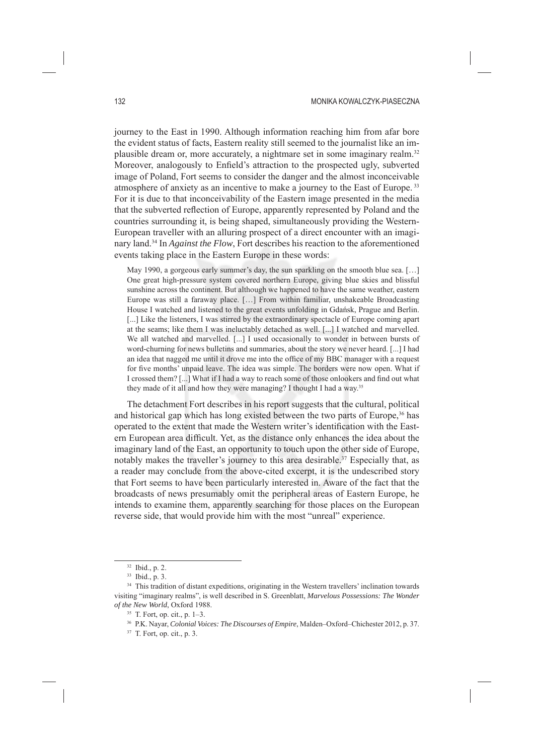journey to the East in 1990. Although information reaching him from afar bore the evident status of facts, Eastern reality still seemed to the journalist like an implausible dream or, more accurately, a nightmare set in some imaginary realm.32 Moreover, analogously to Enfield's attraction to the prospected ugly, subverted image of Poland, Fort seems to consider the danger and the almost inconceivable atmosphere of anxiety as an incentive to make a journey to the East of Europe. 33 For it is due to that inconceivability of the Eastern image presented in the media that the subverted reflection of Europe, apparently represented by Poland and the countries surrounding it, is being shaped, simultaneously providing the Western-European traveller with an alluring prospect of a direct encounter with an imaginary land.34 In *Against the Flow*, Fort describes his reaction to the aforementioned events taking place in the Eastern Europe in these words:

May 1990, a gorgeous early summer's day, the sun sparkling on the smooth blue sea. [...] One great high-pressure system covered northern Europe, giving blue skies and blissful sunshine across the continent. But although we happened to have the same weather, eastern Europe was still a faraway place. […] From within familiar, unshakeable Broadcasting House I watched and listened to the great events unfolding in Gdańsk, Prague and Berlin. [...] Like the listeners, I was stirred by the extraordinary spectacle of Europe coming apart at the seams; like them I was ineluctably detached as well. [...] I watched and marvelled. We all watched and marvelled. [...] I used occasionally to wonder in between bursts of word-churning for news bulletins and summaries, about the story we never heard. [...] I had an idea that nagged me until it drove me into the office of my BBC manager with a request for five months' unpaid leave. The idea was simple. The borders were now open. What if I crossed them? [...] What if I had a way to reach some of those onlookers and find out what they made of it all and how they were managing? I thought I had a way.35

The detachment Fort describes in his report suggests that the cultural, political and historical gap which has long existed between the two parts of Europe,<sup>36</sup> has operated to the extent that made the Western writer's identification with the Eastern European area difficult. Yet, as the distance only enhances the idea about the imaginary land of the East, an opportunity to touch upon the other side of Europe, notably makes the traveller's journey to this area desirable.<sup>37</sup> Especially that, as a reader may conclude from the above-cited excerpt, it is the undescribed story that Fort seems to have been particularly interested in. Aware of the fact that the broadcasts of news presumably omit the peripheral areas of Eastern Europe, he intends to examine them, apparently searching for those places on the European reverse side, that would provide him with the most "unreal" experience.

<sup>32</sup> Ibid., p. 2.

<sup>33</sup> Ibid., p. 3.

<sup>&</sup>lt;sup>34</sup> This tradition of distant expeditions, originating in the Western travellers' inclination towards visiting "imaginary realms", is well described in S. Greenblatt, *Marvelous Possessions: The Wonder of the New World*, Oxford 1988.

<sup>35</sup> T. Fort, op. cit., p. 1–3.

<sup>36</sup> P.K. Nayar, *Colonial Voices: The Discourses of Empire*, Malden–Oxford–Chichester 2012, p. 37.

<sup>37</sup> T. Fort, op. cit., p. 3.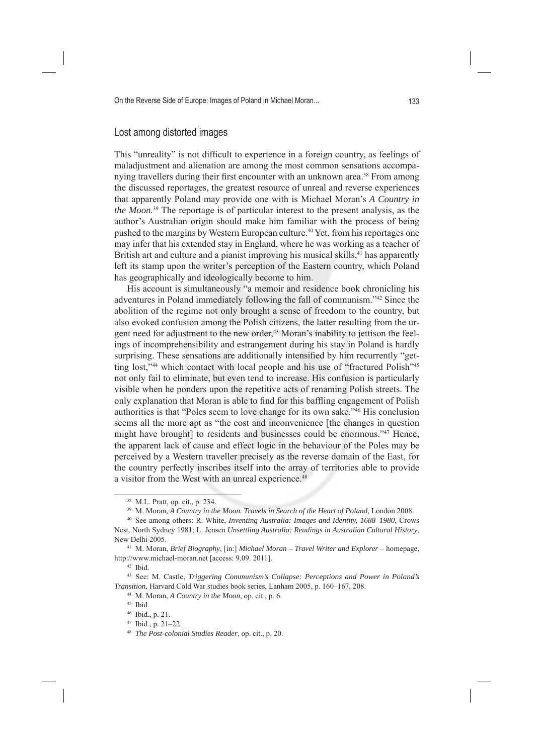# Lost among distorted images

This "unreality" is not difficult to experience in a foreign country, as feelings of maladjustment and alienation are among the most common sensations accompanying travellers during their first encounter with an unknown area.<sup>38</sup> From among the discussed reportages, the greatest resource of unreal and reverse experiences that apparently Poland may provide one with is Michael Moran's *A Country in the Moon.*39 The reportage is of particular interest to the present analysis, as the author's Australian origin should make him familiar with the process of being pushed to the margins by Western European culture.<sup>40</sup> Yet, from his reportages one may infer that his extended stay in England, where he was working as a teacher of British art and culture and a pianist improving his musical skills,<sup>41</sup> has apparently left its stamp upon the writer's perception of the Eastern country, which Poland has geographically and ideologically become to him.

His account is simultaneously "a memoir and residence book chronicling his adventures in Poland immediately following the fall of communism."42 Since the abolition of the regime not only brought a sense of freedom to the country, but also evoked confusion among the Polish citizens, the latter resulting from the urgent need for adjustment to the new order,<sup>43</sup> Moran's inability to jettison the feelings of incomprehensibility and estrangement during his stay in Poland is hardly surprising. These sensations are additionally intensified by him recurrently "getting lost,"44 which contact with local people and his use of "fractured Polish"45 not only fail to eliminate, but even tend to increase. His confusion is particularly visible when he ponders upon the repetitive acts of renaming Polish streets. The only explanation that Moran is able to find for this baffling engagement of Polish authorities is that "Poles seem to love change for its own sake."46 His conclusion seems all the more apt as "the cost and inconvenience [the changes in question might have brought] to residents and businesses could be enormous."47 Hence, the apparent lack of cause and effect logic in the behaviour of the Poles may be perceived by a Western traveller precisely as the reverse domain of the East, for the country perfectly inscribes itself into the array of territories able to provide a visitor from the West with an unreal experience.<sup>48</sup>

<sup>38</sup> M.L. Pratt, op. cit., p. 234.

<sup>&</sup>lt;sup>39</sup> M. Moran, *A Country in the Moon. Travels in Search of the Heart of Poland*, London 2008.<br><sup>40</sup> See among others: R. White, *Inventing Australia: Images and Identity, 1688–1980*, Crows

Nest, North Sydney 1981; L. Jensen *Unsettling Australia: Readings in Australian Cultural History*, New Delhi 2005.

<sup>41</sup> M. Moran, *Brief Biography*, [in:] *Michael Moran – Travel Writer and Explorer* – homepage, http://www.michael-moran.net [access: 9.09. 2011].

<sup>42</sup> Ibid.

<sup>43</sup> See: M. Castle, *Triggering Communism's Collapse: Perceptions and Power in Poland's Transition*, Harvard Cold War studies book series, Lanham 2005, p. 160–167, 208.

<sup>44</sup> M. Moran, *A Country in the Moon*, op. cit., p. 6.

<sup>45</sup> Ibid.

<sup>46</sup> Ibid., p. 21.

<sup>47</sup> Ibid., p. 21–22.

<sup>48</sup> *The Post-colonial Studies Reader*, op. cit., p. 20.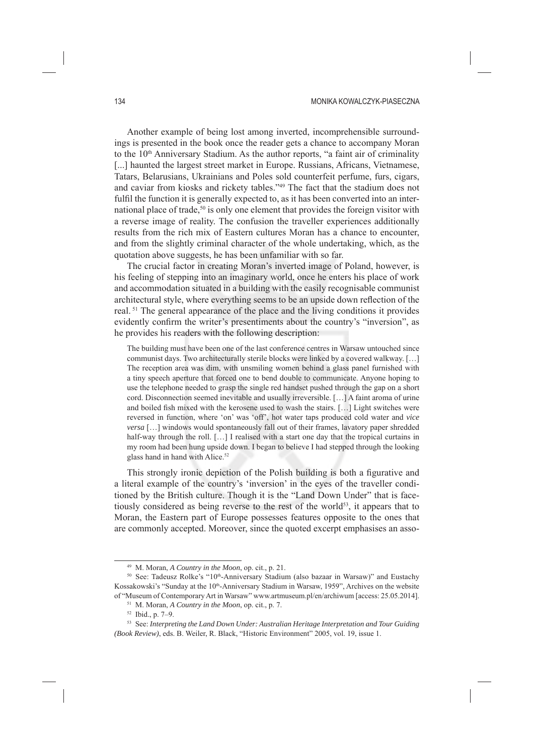#### 134 MONIKA KOWALCZYK-PIASECZNA

Another example of being lost among inverted, incomprehensible surroundings is presented in the book once the reader gets a chance to accompany Moran to the 10<sup>th</sup> Anniversary Stadium. As the author reports, "a faint air of criminality [...] haunted the largest street market in Europe. Russians, Africans, Vietnamese, Tatars, Belarusians, Ukrainians and Poles sold counterfeit perfume, furs, cigars, and caviar from kiosks and rickety tables."49 The fact that the stadium does not fulfil the function it is generally expected to, as it has been converted into an international place of trade,<sup>50</sup> is only one element that provides the foreign visitor with a reverse image of reality. The confusion the traveller experiences additionally results from the rich mix of Eastern cultures Moran has a chance to encounter, and from the slightly criminal character of the whole undertaking, which, as the quotation above suggests, he has been unfamiliar with so far.

The crucial factor in creating Moran's inverted image of Poland, however, is his feeling of stepping into an imaginary world, once he enters his place of work and accommodation situated in a building with the easily recognisable communist architectural style, where everything seems to be an upside down reflection of the real. 51 The general appearance of the place and the living conditions it provides evidently confirm the writer's presentiments about the country's "inversion", as he provides his readers with the following description:

The building must have been one of the last conference centres in Warsaw untouched since communist days. Two architecturally sterile blocks were linked by a covered walkway. […] The reception area was dim, with unsmiling women behind a glass panel furnished with a tiny speech aperture that forced one to bend double to communicate. Anyone hoping to use the telephone needed to grasp the single red handset pushed through the gap on a short cord. Disconnection seemed inevitable and usually irreversible. […] A faint aroma of urine and boiled fish mixed with the kerosene used to wash the stairs. [...] Light switches were reversed in function, where 'on' was 'off', hot water taps produced cold water and *vice versa* […] windows would spontaneously fall out of their frames, lavatory paper shredded half-way through the roll. [...] I realised with a start one day that the tropical curtains in my room had been hung upside down. I began to believe I had stepped through the looking glass hand in hand with Alice.<sup>52</sup>

This strongly ironic depiction of the Polish building is both a figurative and a literal example of the country's 'inversion' in the eyes of the traveller conditioned by the British culture. Though it is the "Land Down Under" that is facetiously considered as being reverse to the rest of the world<sup>53</sup>, it appears that to Moran, the Eastern part of Europe possesses features opposite to the ones that are commonly accepted. Moreover, since the quoted excerpt emphasises an asso-

<sup>49</sup> M. Moran, *A Country in the Moon*, op. cit., p. 21.

<sup>50</sup> See: Tadeusz Rolke's "10<sup>th</sup>-Anniversary Stadium (also bazaar in Warsaw)" and Eustachy Kossakowski's "Sunday at the 10<sup>th</sup>-Anniversary Stadium in Warsaw, 1959", Archives on the website of "Museum of Contemporary Art in Warsaw" www.artmuseum.pl/en/archiwum [access: 25.05.2014].

<sup>51</sup> M. Moran, *A Country in the Moon*, op. cit., p. 7.

<sup>52</sup> Ibid., p. 7–9.

<sup>53</sup> See: *Interpreting the Land Down Under: Australian Heritage Interpretation and Tour Guiding (Book Review)*, eds. B. Weiler, R. Black, "Historic Environment" 2005, vol. 19, issue 1.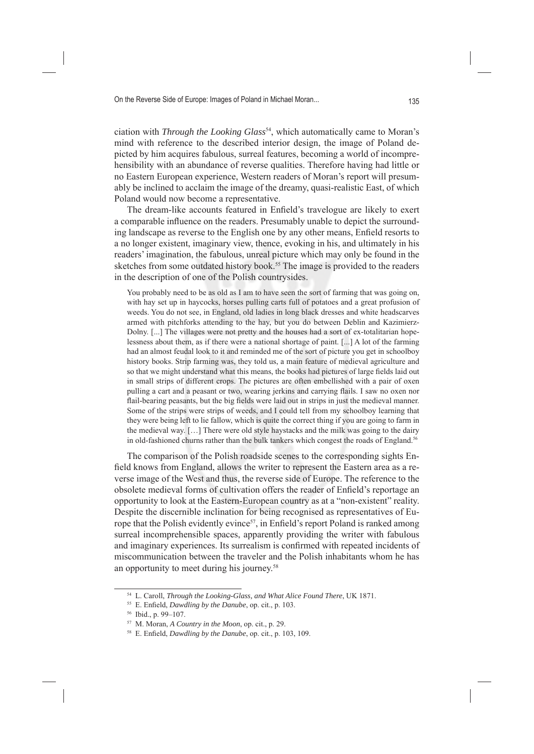ciation with *Through the Looking Glass<sup>54</sup>*, which automatically came to Moran's mind with reference to the described interior design, the image of Poland depicted by him acquires fabulous, surreal features, becoming a world of incomprehensibility with an abundance of reverse qualities. Therefore having had little or no Eastern European experience, Western readers of Moran's report will presumably be inclined to acclaim the image of the dreamy, quasi-realistic East, of which Poland would now become a representative.

The dream-like accounts featured in Enfield's travelogue are likely to exert a comparable influence on the readers. Presumably unable to depict the surrounding landscape as reverse to the English one by any other means, Enfield resorts to a no longer existent, imaginary view, thence, evoking in his, and ultimately in his readers' imagination, the fabulous, unreal picture which may only be found in the sketches from some outdated history book.<sup>55</sup> The image is provided to the readers in the description of one of the Polish countrysides.

You probably need to be as old as I am to have seen the sort of farming that was going on, with hay set up in haycocks, horses pulling carts full of potatoes and a great profusion of weeds. You do not see, in England, old ladies in long black dresses and white headscarves armed with pitchforks attending to the hay, but you do between Deblin and Kazimierz-Dolny. [...] The villages were not pretty and the houses had a sort of ex-totalitarian hopelessness about them, as if there were a national shortage of paint. [...] A lot of the farming had an almost feudal look to it and reminded me of the sort of picture you get in schoolboy history books. Strip farming was, they told us, a main feature of medieval agriculture and so that we might understand what this means, the books had pictures of large fields laid out in small strips of different crops. The pictures are often embellished with a pair of oxen pulling a cart and a peasant or two, wearing jerkins and carrying flails. I saw no oxen nor flail-bearing peasants, but the big fields were laid out in strips in just the medieval manner. Some of the strips were strips of weeds, and I could tell from my schoolboy learning that they were being left to lie fallow, which is quite the correct thing if you are going to farm in the medieval way. […] There were old style haystacks and the milk was going to the dairy in old-fashioned churns rather than the bulk tankers which congest the roads of England.<sup>56</sup>

The comparison of the Polish roadside scenes to the corresponding sights Enfield knows from England, allows the writer to represent the Eastern area as a reverse image of the West and thus, the reverse side of Europe. The reference to the obsolete medieval forms of cultivation offers the reader of Enfield's reportage an opportunity to look at the Eastern-European country as at a "non-existent" reality. Despite the discernible inclination for being recognised as representatives of Europe that the Polish evidently evince<sup>57</sup>, in Enfield's report Poland is ranked among surreal incomprehensible spaces, apparently providing the writer with fabulous and imaginary experiences. Its surrealism is confirmed with repeated incidents of miscommunication between the traveler and the Polish inhabitants whom he has an opportunity to meet during his journey.<sup>58</sup>

<sup>54</sup> L. Caroll, *Through the Looking-Glass, and What Alice Found There*, UK 1871.

<sup>&</sup>lt;sup>55</sup> E. Enfield, *Dawdling by the Danube*, op. cit., p. 103.

<sup>56</sup> Ibid., p. 99–107.

<sup>57</sup> M. Moran, *A Country in the Moon*, op. cit., p. 29.

<sup>&</sup>lt;sup>58</sup> E. Enfield, *Dawdling by the Danube*, op. cit., p. 103, 109.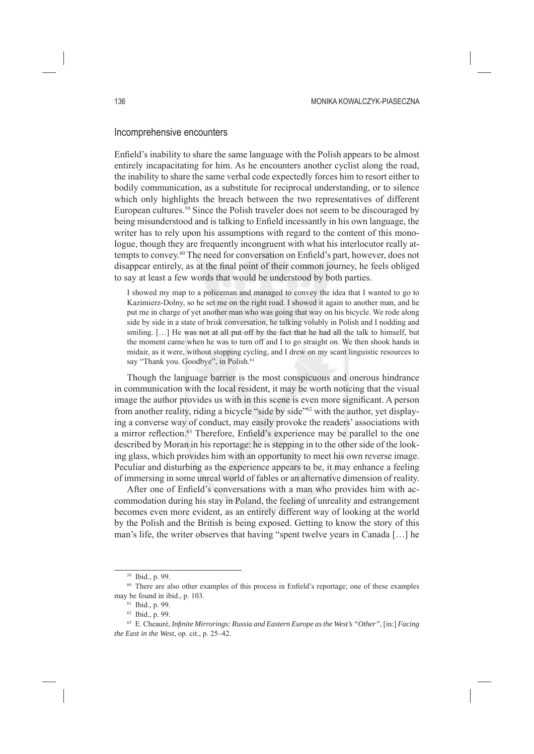### Incomprehensive encounters

Enfield's inability to share the same language with the Polish appears to be almost entirely incapacitating for him. As he encounters another cyclist along the road, the inability to share the same verbal code expectedly forces him to resort either to bodily communication, as a substitute for reciprocal understanding, or to silence which only highlights the breach between the two representatives of different European cultures.59 Since the Polish traveler does not seem to be discouraged by being misunderstood and is talking to Enfield incessantly in his own language, the writer has to rely upon his assumptions with regard to the content of this monologue, though they are frequently incongruent with what his interlocutor really attempts to convey.<sup>60</sup> The need for conversation on Enfield's part, however, does not disappear entirely, as at the final point of their common journey, he feels obliged to say at least a few words that would be understood by both parties.

I showed my map to a policeman and managed to convey the idea that I wanted to go to Kazimierz-Dolny, so he set me on the right road. I showed it again to another man, and he put me in charge of yet another man who was going that way on his bicycle. We rode along side by side in a state of brisk conversation, he talking volubly in Polish and I nodding and smiling. [...] He was not at all put off by the fact that he had all the talk to himself, but the moment came when he was to turn off and I to go straight on. We then shook hands in midair, as it were, without stopping cycling, and I drew on my scant linguistic resources to say "Thank you. Goodbye", in Polish.<sup>61</sup>

Though the language barrier is the most conspicuous and onerous hindrance in communication with the local resident, it may be worth noticing that the visual image the author provides us with in this scene is even more significant. A person from another reality, riding a bicycle "side by side"62 with the author, yet displaying a converse way of conduct, may easily provoke the readers' associations with a mirror reflection.<sup>63</sup> Therefore, Enfield's experience may be parallel to the one described by Moran in his reportage: he is stepping in to the other side of the looking glass, which provides him with an opportunity to meet his own reverse image. Peculiar and disturbing as the experience appears to be, it may enhance a feeling of immersing in some unreal world of fables or an alternative dimension of reality.

After one of Enfield's conversations with a man who provides him with accommodation during his stay in Poland, the feeling of unreality and estrangement becomes even more evident, as an entirely different way of looking at the world by the Polish and the British is being exposed. Getting to know the story of this man's life, the writer observes that having "spent twelve years in Canada […] he

<sup>&</sup>lt;sup>59</sup> Ibid., p. 99

<sup>&</sup>lt;sup>60</sup> There are also other examples of this process in Enfield's reportage; one of these examples may be found in ibid., p. 103.

<sup>61</sup> Ibid., p. 99.

<sup>62</sup> Ibid., p. 99.

<sup>&</sup>lt;sup>63</sup> E. Cheaurè, *Infinite Mirrorings: Russia and Eastern Europe as the West's "Other"*, [in:] *Facing the East in the West*, op. cit., p. 25–42.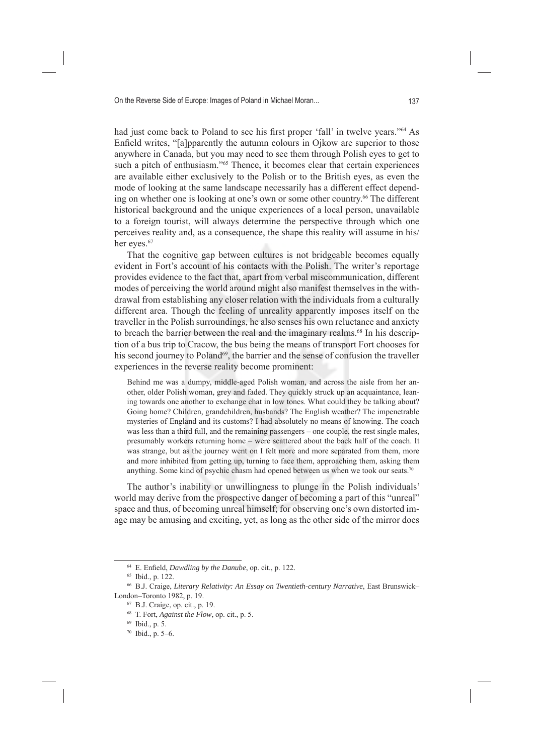had just come back to Poland to see his first proper 'fall' in twelve years."<sup>64</sup> As Enfield writes, "[a]pparently the autumn colours in Ojkow are superior to those anywhere in Canada, but you may need to see them through Polish eyes to get to such a pitch of enthusiasm."<sup>65</sup> Thence, it becomes clear that certain experiences are available either exclusively to the Polish or to the British eyes, as even the mode of looking at the same landscape necessarily has a different effect depending on whether one is looking at one's own or some other country.<sup>66</sup> The different historical background and the unique experiences of a local person, unavailable to a foreign tourist, will always determine the perspective through which one perceives reality and, as a consequence, the shape this reality will assume in his/ her eyes.<sup>67</sup>

That the cognitive gap between cultures is not bridgeable becomes equally evident in Fort's account of his contacts with the Polish. The writer's reportage provides evidence to the fact that, apart from verbal miscommunication, different modes of perceiving the world around might also manifest themselves in the withdrawal from establishing any closer relation with the individuals from a culturally different area. Though the feeling of unreality apparently imposes itself on the traveller in the Polish surroundings, he also senses his own reluctance and anxiety to breach the barrier between the real and the imaginary realms.<sup>68</sup> In his description of a bus trip to Cracow, the bus being the means of transport Fort chooses for his second journey to Poland<sup>69</sup>, the barrier and the sense of confusion the traveller experiences in the reverse reality become prominent:

Behind me was a dumpy, middle-aged Polish woman, and across the aisle from her another, older Polish woman, grey and faded. They quickly struck up an acquaintance, leaning towards one another to exchange chat in low tones. What could they be talking about? Going home? Children, grandchildren, husbands? The English weather? The impenetrable mysteries of England and its customs? I had absolutely no means of knowing. The coach was less than a third full, and the remaining passengers – one couple, the rest single males, presumably workers returning home – were scattered about the back half of the coach. It was strange, but as the journey went on I felt more and more separated from them, more and more inhibited from getting up, turning to face them, approaching them, asking them anything. Some kind of psychic chasm had opened between us when we took our seats.70

The author's inability or unwillingness to plunge in the Polish individuals' world may derive from the prospective danger of becoming a part of this "unreal" space and thus, of becoming unreal himself; for observing one's own distorted image may be amusing and exciting, yet, as long as the other side of the mirror does

<sup>&</sup>lt;sup>64</sup> E. Enfield, *Dawdling by the Danube*, op. cit., p. 122.

<sup>65</sup> Ibid., p. 122.

<sup>66</sup> B.J. Craige, *Literary Relativity: An Essay on Twentieth-century Narrative*, East Brunswick– London–Toronto 1982, p. 19.

<sup>67</sup> B.J. Craige, op. cit., p. 19.

<sup>68</sup> T. Fort, *Against the Flow*, op. cit., p. 5.

<sup>69</sup> Ibid., p. 5.

<sup>70</sup> Ibid., p. 5–6.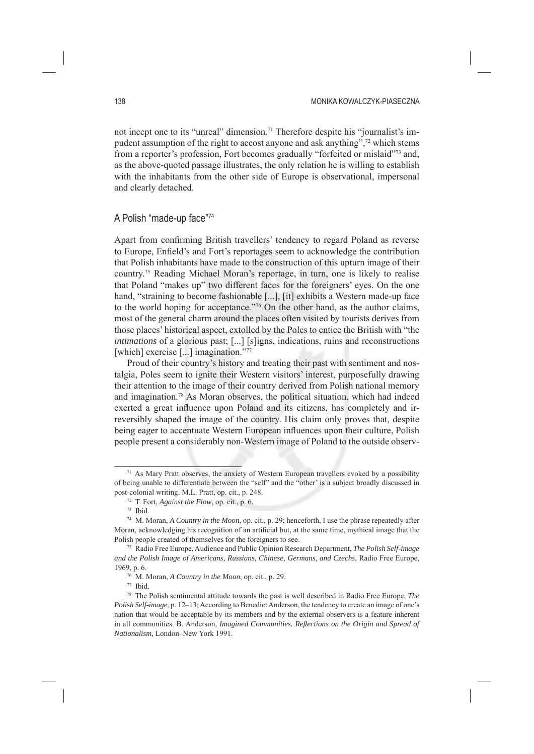not incept one to its "unreal" dimension.<sup>71</sup> Therefore despite his "journalist's impudent assumption of the right to accost anyone and ask anything",72 which stems from a reporter's profession, Fort becomes gradually "forfeited or mislaid"73 and, as the above-quoted passage illustrates, the only relation he is willing to establish with the inhabitants from the other side of Europe is observational, impersonal and clearly detached.

## A Polish "made-up face"74

Apart from confirming British travellers' tendency to regard Poland as reverse to Europe, Enfield's and Fort's reportages seem to acknowledge the contribution that Polish inhabitants have made to the construction of this upturn image of their country.75 Reading Michael Moran's reportage, in turn, one is likely to realise that Poland "makes up" two different faces for the foreigners' eyes. On the one hand, "straining to become fashionable [...], [it] exhibits a Western made-up face to the world hoping for acceptance."76 On the other hand, as the author claims, most of the general charm around the places often visited by tourists derives from those places' historical aspect, extolled by the Poles to entice the British with "the *intimations* of a glorious past; [...] [s]igns, indications, ruins and reconstructions [which] exercise [...] imagination."77

Proud of their country's history and treating their past with sentiment and nostalgia, Poles seem to ignite their Western visitors' interest, purposefully drawing their attention to the image of their country derived from Polish national memory and imagination.78 As Moran observes, the political situation, which had indeed exerted a great influence upon Poland and its citizens, has completely and irreversibly shaped the image of the country. His claim only proves that, despite being eager to accentuate Western European influences upon their culture, Polish people present a considerably non-Western image of Poland to the outside observ-

 $71$  As Mary Pratt observes, the anxiety of Western European travellers evoked by a possibility of being unable to differentiate between the "self" and the "other' is a subject broadly discussed in post-colonial writing. M.L. Pratt, op. cit., p. 248.

<sup>72</sup> T. Fort, *Against the Flow*, op. cit., p. 6.

<sup>73</sup> Ibid.

<sup>74</sup> M. Moran, *A Country in the Moon*, op. cit., p. 29; henceforth, I use the phrase repeatedly after Moran, acknowledging his recognition of an artificial but, at the same time, mythical image that the Polish people created of themselves for the foreigners to see.

<sup>75</sup> Radio Free Europe, Audience and Public Opinion Research Department, *The Polish Self-image and the Polish Image of Americans, Russians, Chinese, Germans, and Czechs*, Radio Free Europe, 1969, p. 6.

<sup>76</sup> M. Moran, *A Country in the Moon*, op. cit., p. 29.

<sup>77</sup> Ibid.

<sup>78</sup> The Polish sentimental attitude towards the past is well described in Radio Free Europe, *The Polish Self-image*, p. 12–13; According to Benedict Anderson, the tendency to create an image of one's nation that would be acceptable by its members and by the external observers is a feature inherent in all communities. B. Anderson, *Imagined Communities. Reflections on the Origin and Spread of Nationalism*, London–New York 1991.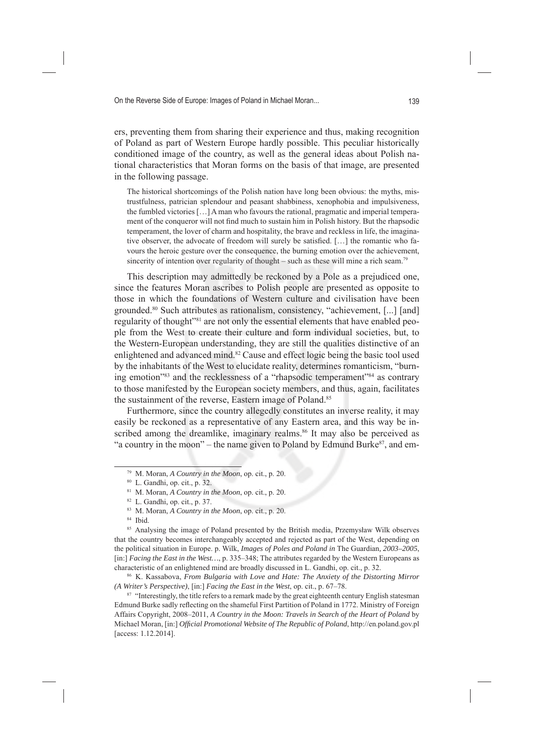ers, preventing them from sharing their experience and thus, making recognition of Poland as part of Western Europe hardly possible. This peculiar historically conditioned image of the country, as well as the general ideas about Polish national characteristics that Moran forms on the basis of that image, are presented in the following passage.

The historical shortcomings of the Polish nation have long been obvious: the myths, mistrustfulness, patrician splendour and peasant shabbiness, xenophobia and impulsiveness, the fumbled victories […] A man who favours the rational, pragmatic and imperial temperament of the conqueror will not find much to sustain him in Polish history. But the rhapsodic temperament, the lover of charm and hospitality, the brave and reckless in life, the imaginative observer, the advocate of freedom will surely be satisfied. [...] the romantic who favours the heroic gesture over the consequence, the burning emotion over the achievement, sincerity of intention over regularity of thought – such as these will mine a rich seam.<sup>79</sup>

This description may admittedly be reckoned by a Pole as a prejudiced one, since the features Moran ascribes to Polish people are presented as opposite to those in which the foundations of Western culture and civilisation have been grounded.80 Such attributes as rationalism, consistency, "achievement, [...] [and] regularity of thought"81 are not only the essential elements that have enabled people from the West to create their culture and form individual societies, but, to the Western-European understanding, they are still the qualities distinctive of an enlightened and advanced mind.82 Cause and effect logic being the basic tool used by the inhabitants of the West to elucidate reality, determines romanticism, "burning emotion"<sup>83</sup> and the recklessness of a "rhapsodic temperament"<sup>84</sup> as contrary to those manifested by the European society members, and thus, again, facilitates the sustainment of the reverse, Eastern image of Poland.<sup>85</sup>

Furthermore, since the country allegedly constitutes an inverse reality, it may easily be reckoned as a representative of any Eastern area, and this way be inscribed among the dreamlike, imaginary realms.<sup>86</sup> It may also be perceived as "a country in the moon" – the name given to Poland by Edmund Burke $\alpha$ <sup>7</sup>, and em-

86 K. Kassabova, *From Bulgaria with Love and Hate: The Anxiety of the Distorting Mirror (A Writer's Perspective)*, [in:] *Facing the East in the West*, op. cit., p. 67–78.

<sup>87</sup> "Interestingly, the title refers to a remark made by the great eighteenth century English statesman Edmund Burke sadly reflecting on the shameful First Partition of Poland in 1772. Ministry of Foreign Affairs Copyright, 2008–2011, *A Country in the Moon: Travels in Search of the Heart of Poland* by Michael Moran, [in:] *Offi cial Promotional Website of The Republic of Poland*, http://en.poland.gov.pl [access: 1.12.2014].

<sup>79</sup> M. Moran, *A Country in the Moon*, op. cit., p. 20.

<sup>80</sup> L. Gandhi, op. cit., p. 32.

<sup>81</sup> M. Moran, *A Country in the Moon*, op. cit., p. 20.

<sup>82</sup> L. Gandhi, op. cit., p. 37.

<sup>83</sup> M. Moran, *A Country in the Moon*, op. cit., p. 20.

<sup>84</sup> Ibid.

<sup>85</sup> Analysing the image of Poland presented by the British media, Przemysław Wilk observes that the country becomes interchangeably accepted and rejected as part of the West, depending on the political situation in Europe. p. Wilk, *Images of Poles and Poland in* The Guardian*, 2003–2005*, [in:] *Facing the East in the West…*, p. 335–348; The attributes regarded by the Western Europeans as characteristic of an enlightened mind are broadly discussed in L. Gandhi, op. cit., p. 32.